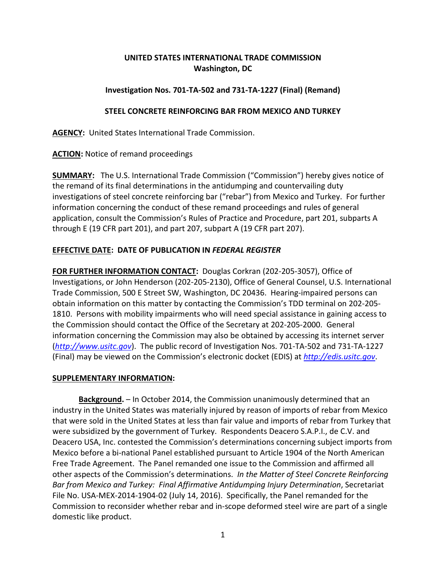# **UNITED STATES INTERNATIONAL TRADE COMMISSION Washington, DC**

## **Investigation Nos. 701-TA-502 and 731-TA-1227 (Final) (Remand)**

#### **STEEL CONCRETE REINFORCING BAR FROM MEXICO AND TURKEY**

**AGENCY:** United States International Trade Commission.

**ACTION:** Notice of remand proceedings

**SUMMARY:** The U.S. International Trade Commission ("Commission") hereby gives notice of the remand of its final determinations in the antidumping and countervailing duty investigations of steel concrete reinforcing bar ("rebar") from Mexico and Turkey. For further information concerning the conduct of these remand proceedings and rules of general application, consult the Commission's Rules of Practice and Procedure, part 201, subparts A through E (19 CFR part 201), and part 207, subpart A (19 CFR part 207).

# **EFFECTIVE DATE: DATE OF PUBLICATION IN** *FEDERAL REGISTER*

**FOR FURTHER INFORMATION CONTACT:** Douglas Corkran (202-205-3057), Office of Investigations, or John Henderson (202-205-2130), Office of General Counsel, U.S. International Trade Commission, 500 E Street SW, Washington, DC 20436. Hearing-impaired persons can obtain information on this matter by contacting the Commission's TDD terminal on 202-205- 1810. Persons with mobility impairments who will need special assistance in gaining access to the Commission should contact the Office of the Secretary at 202-205-2000. General information concerning the Commission may also be obtained by accessing its internet server (*[http://www.usitc.gov](http://www.usitc.gov/)*). The public record of Investigation Nos. 701-TA-502 and 731-TA-1227 (Final) may be viewed on the Commission's electronic docket (EDIS) at *[http://edis.usitc.gov](http://edis.usitc.gov/)*.

#### **SUPPLEMENTARY INFORMATION:**

**Background.** – In October 2014, the Commission unanimously determined that an industry in the United States was materially injured by reason of imports of rebar from Mexico that were sold in the United States at less than fair value and imports of rebar from Turkey that were subsidized by the government of Turkey. Respondents Deacero S.A.P.I., de C.V. and Deacero USA, Inc. contested the Commission's determinations concerning subject imports from Mexico before a bi-national Panel established pursuant to Article 1904 of the North American Free Trade Agreement. The Panel remanded one issue to the Commission and affirmed all other aspects of the Commission's determinations. *In the Matter of Steel Concrete Reinforcing Bar from Mexico and Turkey: Final Affirmative Antidumping Injury Determination*, Secretariat File No. USA-MEX-2014-1904-02 (July 14, 2016). Specifically, the Panel remanded for the Commission to reconsider whether rebar and in-scope deformed steel wire are part of a single domestic like product.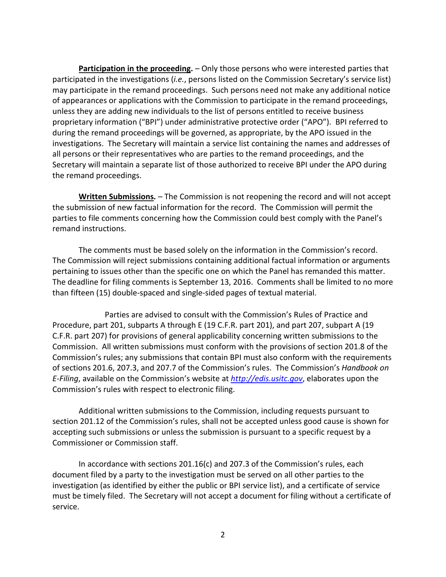**Participation in the proceeding.** – Only those persons who were interested parties that participated in the investigations (*i.e.*, persons listed on the Commission Secretary's service list) may participate in the remand proceedings. Such persons need not make any additional notice of appearances or applications with the Commission to participate in the remand proceedings, unless they are adding new individuals to the list of persons entitled to receive business proprietary information ("BPI") under administrative protective order ("APO"). BPI referred to during the remand proceedings will be governed, as appropriate, by the APO issued in the investigations. The Secretary will maintain a service list containing the names and addresses of all persons or their representatives who are parties to the remand proceedings, and the Secretary will maintain a separate list of those authorized to receive BPI under the APO during the remand proceedings.

**Written Submissions***. –* The Commission is not reopening the record and will not accept the submission of new factual information for the record. The Commission will permit the parties to file comments concerning how the Commission could best comply with the Panel's remand instructions.

The comments must be based solely on the information in the Commission's record. The Commission will reject submissions containing additional factual information or arguments pertaining to issues other than the specific one on which the Panel has remanded this matter. The deadline for filing comments is September 13, 2016. Comments shall be limited to no more than fifteen (15) double-spaced and single-sided pages of textual material.

Parties are advised to consult with the Commission's Rules of Practice and Procedure, part 201, subparts A through E (19 C.F.R. part 201), and part 207, subpart A (19 C.F.R. part 207) for provisions of general applicability concerning written submissions to the Commission. All written submissions must conform with the provisions of section 201.8 of the Commission's rules; any submissions that contain BPI must also conform with the requirements of sections 201.6, 207.3, and 207.7 of the Commission's rules. The Commission's *Handbook on E-Filing*, available on the Commission's website at *[http://edis.usitc.gov](http://edis.usitc.gov/)*, elaborates upon the Commission's rules with respect to electronic filing.

Additional written submissions to the Commission, including requests pursuant to section 201.12 of the Commission's rules, shall not be accepted unless good cause is shown for accepting such submissions or unless the submission is pursuant to a specific request by a Commissioner or Commission staff.

In accordance with sections 201.16(c) and 207.3 of the Commission's rules, each document filed by a party to the investigation must be served on all other parties to the investigation (as identified by either the public or BPI service list), and a certificate of service must be timely filed. The Secretary will not accept a document for filing without a certificate of service.